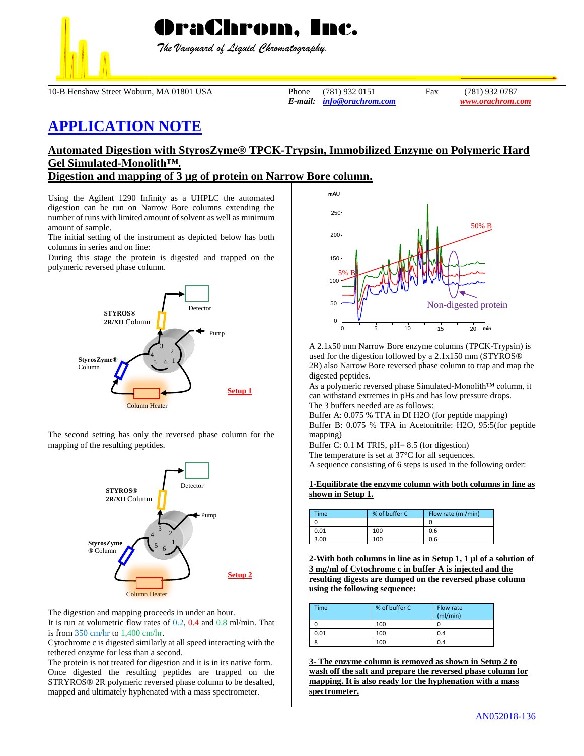

 *The Vanguard of Liquid Chromatography.*

10-B Henshaw Street Woburn, MA 01801 USA Phone (781) 932 0151 Fax (781) 932 0787

*E-mail: [info@orachrom.com](mailto:info@orachrom.com) www.orachrom.com*

## **APPLICATION NOTE**

## **Automated Digestion with StyrosZyme® TPCK-Trypsin, Immobilized Enzyme on Polymeric Hard Gel Simulated-Monolith™.**

**Digestion and mapping of 3 µg of protein on Narrow Bore column.**

Using the Agilent 1290 Infinity as a UHPLC the automated digestion can be run on Narrow Bore columns extending the number of runs with limited amount of solvent as well as minimum amount of sample.

The initial setting of the instrument as depicted below has both columns in series and on line:

During this stage the protein is digested and trapped on the polymeric reversed phase column.



The second setting has only the reversed phase column for the mapping of the resulting peptides.



The digestion and mapping proceeds in under an hour. It is run at volumetric flow rates of 0.2, 0.4 and 0.8 ml/min. That is from 350 cm/hr to 1,400 cm/hr.

Cytochrome c is digested similarly at all speed interacting with the tethered enzyme for less than a second.

The protein is not treated for digestion and it is in its native form. Once digested the resulting peptides are trapped on the STRYROS® 2R polymeric reversed phase column to be desalted, mapped and ultimately hyphenated with a mass spectrometer.



A 2.1x50 mm Narrow Bore enzyme columns (TPCK-Trypsin) is used for the digestion followed by a 2.1x150 mm (STYROS® 2R) also Narrow Bore reversed phase column to trap and map the digested peptides.

As a polymeric reversed phase Simulated-Monolith™ column, it can withstand extremes in pHs and has low pressure drops. The 3 buffers needed are as follows:

Buffer A: 0.075 % TFA in DI H2O (for peptide mapping) Buffer B: 0.075 % TFA in Acetonitrile: H2O, 95:5(for peptide mapping)

Buffer C: 0.1 M TRIS, pH= 8.5 (for digestion) The temperature is set at 37°C for all sequences. A sequence consisting of 6 steps is used in the following order:

## **1-Equilibrate the enzyme column with both columns in line as shown in Setup 1.**

| <b>Time</b> | % of buffer C | Flow rate (ml/min) |
|-------------|---------------|--------------------|
|             |               |                    |
| 0.01        | 100           | 0.6                |
| 3.00        | 100           | 0.6                |

**2-With both columns in line as in Setup 1, 1 µl of a solution of 3 mg/ml of Cytochrome c in buffer A is injected and the resulting digests are dumped on the reversed phase column using the following sequence:**

| <b>Time</b> | % of buffer C | Flow rate<br>(mI/min) |
|-------------|---------------|-----------------------|
|             | 100           |                       |
| 0.01        | 100           | 0.4                   |
|             | 100           | 0.4                   |

**3- The enzyme column is removed as shown in Setup 2 to wash off the salt and prepare the reversed phase column for mapping. It is also ready for the hyphenation with a mass spectrometer.**